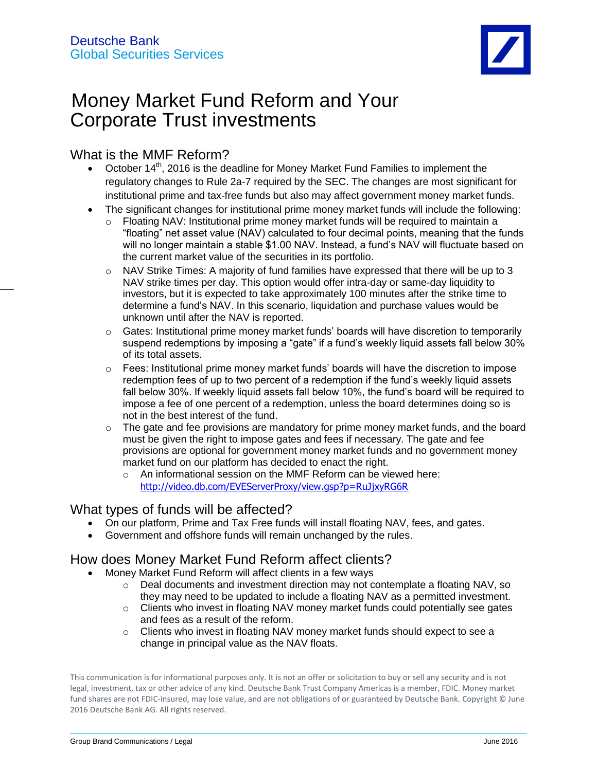

# Money Market Fund Reform and Your Corporate Trust investments

# What is the MMF Reform?

- October  $14<sup>th</sup>$ , 2016 is the deadline for Money Market Fund Families to implement the regulatory changes to Rule 2a-7 required by the SEC. The changes are most significant for institutional prime and tax-free funds but also may affect government money market funds.
- The significant changes for institutional prime money market funds will include the following:
	- o Floating NAV: Institutional prime money market funds will be required to maintain a "floating" net asset value (NAV) calculated to four decimal points, meaning that the funds will no longer maintain a stable \$1.00 NAV. Instead, a fund's NAV will fluctuate based on the current market value of the securities in its portfolio.
	- $\circ$  NAV Strike Times: A majority of fund families have expressed that there will be up to 3 NAV strike times per day. This option would offer intra-day or same-day liquidity to investors, but it is expected to take approximately 100 minutes after the strike time to determine a fund's NAV. In this scenario, liquidation and purchase values would be unknown until after the NAV is reported.
	- $\circ$  Gates: Institutional prime money market funds' boards will have discretion to temporarily suspend redemptions by imposing a "gate" if a fund's weekly liquid assets fall below 30% of its total assets.
	- $\circ$  Fees: Institutional prime money market funds' boards will have the discretion to impose redemption fees of up to two percent of a redemption if the fund's weekly liquid assets fall below 30%. If weekly liquid assets fall below 10%, the fund's board will be required to impose a fee of one percent of a redemption, unless the board determines doing so is not in the best interest of the fund.
	- $\circ$  The gate and fee provisions are mandatory for prime money market funds, and the board must be given the right to impose gates and fees if necessary. The gate and fee provisions are optional for government money market funds and no government money market fund on our platform has decided to enact the right.
		- o An informational session on the MMF Reform can be viewed here: http://video.db.com/EVEServerProxy/view.gsp?p=RuJjxyRG6R

## What types of funds will be affected?

- On our platform, Prime and Tax Free funds will install floating NAV, fees, and gates.
- Government and offshore funds will remain unchanged by the rules.

# How does Money Market Fund Reform affect clients?

- Money Market Fund Reform will affect clients in a few ways
	- $\circ$  Deal documents and investment direction may not contemplate a floating NAV, so they may need to be updated to include a floating NAV as a permitted investment.
	- $\circ$  Clients who invest in floating NAV money market funds could potentially see gates and fees as a result of the reform.
	- o Clients who invest in floating NAV money market funds should expect to see a change in principal value as the NAV floats.

This communication is for informational purposes only. It is not an offer or solicitation to buy or sell any security and is not legal, investment, tax or other advice of any kind. Deutsche Bank Trust Company Americas is a member, FDIC. Money market fund shares are not FDIC-insured, may lose value, and are not obligations of or guaranteed by Deutsche Bank. Copyright © June 2016 Deutsche Bank AG. All rights reserved.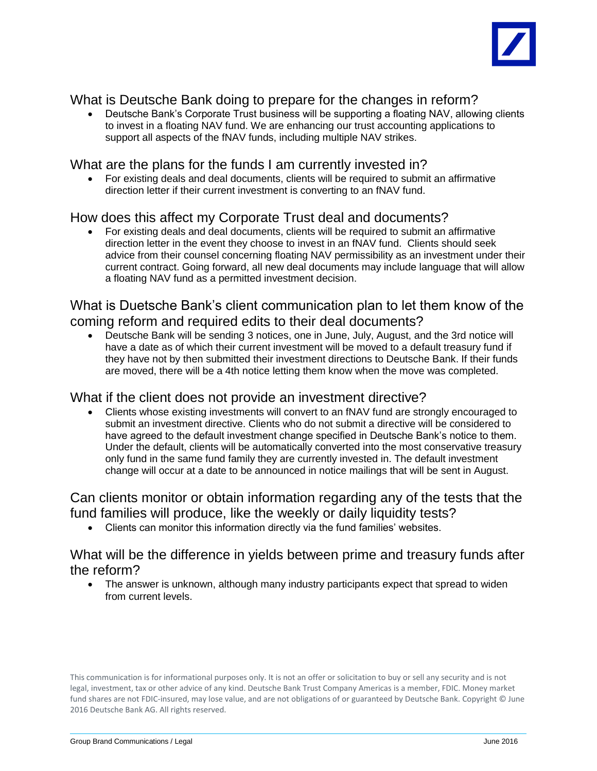

# What is Deutsche Bank doing to prepare for the changes in reform?

 Deutsche Bank's Corporate Trust business will be supporting a floating NAV, allowing clients to invest in a floating NAV fund. We are enhancing our trust accounting applications to support all aspects of the fNAV funds, including multiple NAV strikes.

## What are the plans for the funds I am currently invested in?

 For existing deals and deal documents, clients will be required to submit an affirmative direction letter if their current investment is converting to an fNAV fund.

## How does this affect my Corporate Trust deal and documents?

 For existing deals and deal documents, clients will be required to submit an affirmative direction letter in the event they choose to invest in an fNAV fund. Clients should seek advice from their counsel concerning floating NAV permissibility as an investment under their current contract. Going forward, all new deal documents may include language that will allow a floating NAV fund as a permitted investment decision.

#### What is Duetsche Bank's client communication plan to let them know of the coming reform and required edits to their deal documents?

 Deutsche Bank will be sending 3 notices, one in June, July, August, and the 3rd notice will have a date as of which their current investment will be moved to a default treasury fund if they have not by then submitted their investment directions to Deutsche Bank. If their funds are moved, there will be a 4th notice letting them know when the move was completed.

#### What if the client does not provide an investment directive?

 Clients whose existing investments will convert to an fNAV fund are strongly encouraged to submit an investment directive. Clients who do not submit a directive will be considered to have agreed to the default investment change specified in Deutsche Bank's notice to them. Under the default, clients will be automatically converted into the most conservative treasury only fund in the same fund family they are currently invested in. The default investment change will occur at a date to be announced in notice mailings that will be sent in August.

Can clients monitor or obtain information regarding any of the tests that the fund families will produce, like the weekly or daily liquidity tests?

Clients can monitor this information directly via the fund families' websites.

#### What will be the difference in yields between prime and treasury funds after the reform?

• The answer is unknown, although many industry participants expect that spread to widen from current levels.

This communication is for informational purposes only. It is not an offer or solicitation to buy or sell any security and is not legal, investment, tax or other advice of any kind. Deutsche Bank Trust Company Americas is a member, FDIC. Money market fund shares are not FDIC-insured, may lose value, and are not obligations of or guaranteed by Deutsche Bank. Copyright © June 2016 Deutsche Bank AG. All rights reserved.